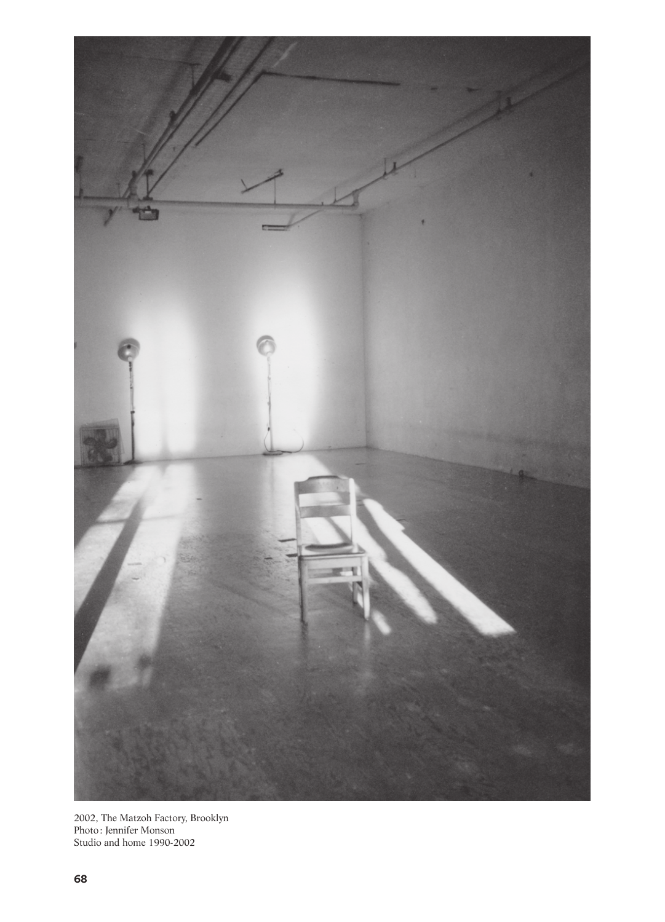

2002, The Matzoh Factory, Brooklyn Photo: Jennifer Monson Studio and home 1990-2002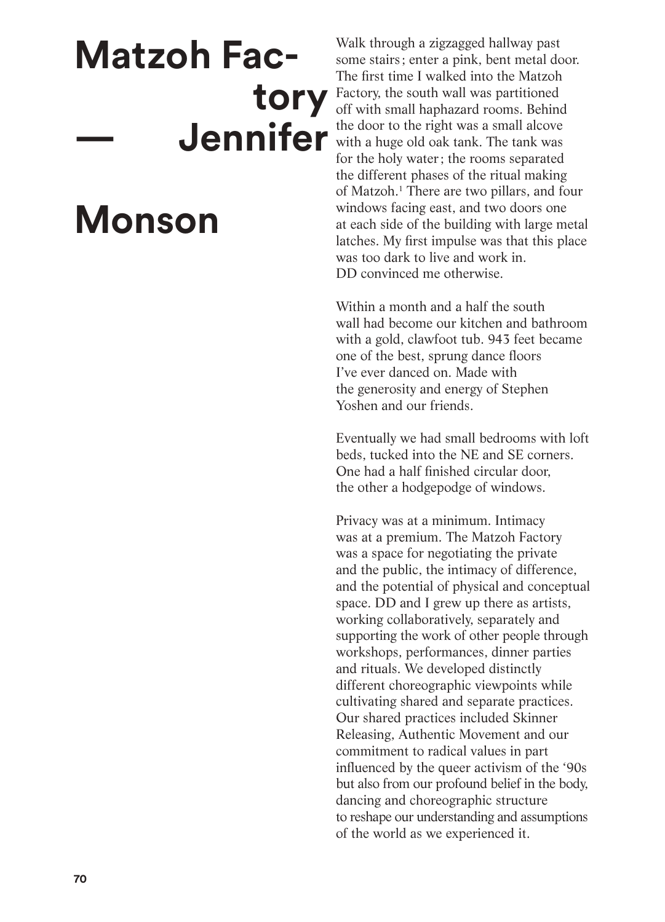## **Matzoh Factory — Jennifer**

## **Monson**

Walk through a zigzagged hallway past some stairs ; enter a pink, bent metal door. The first time I walked into the Matzoh Factory, the south wall was partitioned off with small haphazard rooms. Behind the door to the right was a small alcove with a huge old oak tank. The tank was for the holy water; the rooms separated the different phases of the ritual making of Matzoh.1 There are two pillars, and four windows facing east, and two doors one at each side of the building with large metal latches. My first impulse was that this place was too dark to live and work in. DD convinced me otherwise.

Within a month and a half the south wall had become our kitchen and bathroom with a gold, clawfoot tub. 943 feet became one of the best, sprung dance floors I've ever danced on. Made with the generosity and energy of Stephen Yoshen and our friends.

Eventually we had small bedrooms with loft beds, tucked into the NE and SE corners. One had a half finished circular door, the other a hodgepodge of windows.

Privacy was at a minimum. Intimacy was at a premium. The Matzoh Factory was a space for negotiating the private and the public, the intimacy of difference, and the potential of physical and conceptual space. DD and I grew up there as artists, working collaboratively, separately and supporting the work of other people through workshops, performances, dinner parties and rituals. We developed distinctly different choreographic viewpoints while cultivating shared and separate practices. Our shared practices included Skinner Releasing, Authentic Movement and our commitment to radical values in part influenced by the queer activism of the '90s but also from our profound belief in the body, dancing and choreographic structure to reshape our understanding and assumptions of the world as we experienced it.